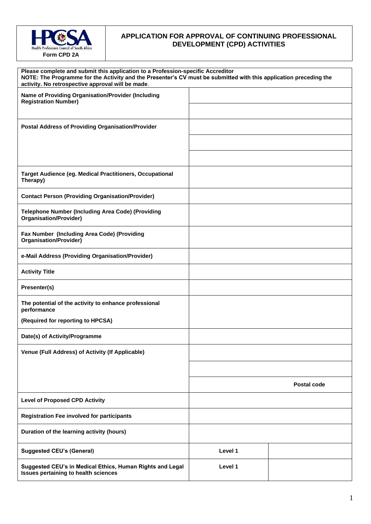

## **APPLICATION FOR APPROVAL OF CONTINUING PROFESSIONAL DEVELOPMENT (CPD) ACTIVITIES**

| Please complete and submit this application to a Profession-specific Accreditor<br>NOTE: The Programme for the Activity and the Presenter's CV must be submitted with this application preceding the<br>activity. No retrospective approval will be made. |         |             |
|-----------------------------------------------------------------------------------------------------------------------------------------------------------------------------------------------------------------------------------------------------------|---------|-------------|
| Name of Providing Organisation/Provider (Including<br><b>Registration Number)</b>                                                                                                                                                                         |         |             |
|                                                                                                                                                                                                                                                           |         |             |
| Postal Address of Providing Organisation/Provider                                                                                                                                                                                                         |         |             |
|                                                                                                                                                                                                                                                           |         |             |
|                                                                                                                                                                                                                                                           |         |             |
| <b>Target Audience (eg. Medical Practitioners, Occupational</b><br>Therapy)                                                                                                                                                                               |         |             |
| <b>Contact Person (Providing Organisation/Provider)</b>                                                                                                                                                                                                   |         |             |
| <b>Telephone Number (Including Area Code) (Providing</b><br><b>Organisation/Provider)</b>                                                                                                                                                                 |         |             |
| Fax Number (Including Area Code) (Providing<br><b>Organisation/Provider)</b>                                                                                                                                                                              |         |             |
| e-Mail Address (Providing Organisation/Provider)                                                                                                                                                                                                          |         |             |
| <b>Activity Title</b>                                                                                                                                                                                                                                     |         |             |
| Presenter(s)                                                                                                                                                                                                                                              |         |             |
| The potential of the activity to enhance professional<br>performance                                                                                                                                                                                      |         |             |
| (Required for reporting to HPCSA)                                                                                                                                                                                                                         |         |             |
| Date(s) of Activity/Programme                                                                                                                                                                                                                             |         |             |
| Venue (Full Address) of Activity (If Applicable)                                                                                                                                                                                                          |         |             |
|                                                                                                                                                                                                                                                           |         |             |
|                                                                                                                                                                                                                                                           |         | Postal code |
| <b>Level of Proposed CPD Activity</b>                                                                                                                                                                                                                     |         |             |
| <b>Registration Fee involved for participants</b>                                                                                                                                                                                                         |         |             |
| Duration of the learning activity (hours)                                                                                                                                                                                                                 |         |             |
| <b>Suggested CEU's (General)</b>                                                                                                                                                                                                                          | Level 1 |             |
| Suggested CEU's in Medical Ethics, Human Rights and Legal<br>Issues pertaining to health sciences                                                                                                                                                         | Level 1 |             |